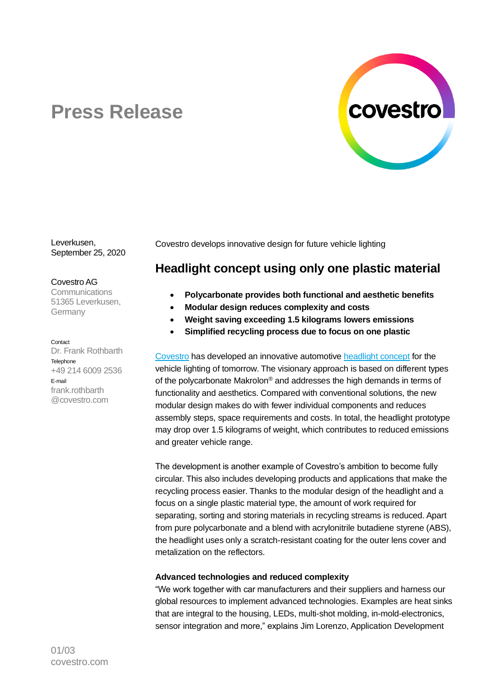

# **Press Release**

Leverkusen, September 25, 2020

#### Covestro AG

Communications 51365 Leverkusen, **Germany** 

#### **Contact**

Dr. Frank Rothbarth **Telephone** +49 214 6009 2536 E-mail frank.rothbarth @covestro.com

Covestro develops innovative design for future vehicle lighting

# **Headlight concept using only one plastic material**

- **Polycarbonate provides both functional and aesthetic benefits**
- **Modular design reduces complexity and costs**
- **Weight saving exceeding 1.5 kilograms lowers emissions**
- **Simplified recycling process due to focus on one plastic**

[Covestro](http://www.covestro.com/) has developed an innovative automotive [headlight concept](https://solutions.covestro.com/en/highlights/articles/stories/2020/mono-material-headlamp-concept) for the vehicle lighting of tomorrow. The visionary approach is based on different types of the polycarbonate Makrolon® and addresses the high demands in terms of functionality and aesthetics. Compared with conventional solutions, the new modular design makes do with fewer individual components and reduces assembly steps, space requirements and costs. In total, the headlight prototype may drop over 1.5 kilograms of weight, which contributes to reduced emissions and greater vehicle range.

The development is another example of Covestro's ambition to become fully circular. This also includes developing products and applications that make the recycling process easier. Thanks to the modular design of the headlight and a focus on a single plastic material type, the amount of work required for separating, sorting and storing materials in recycling streams is reduced. Apart from pure polycarbonate and a blend with acrylonitrile butadiene styrene (ABS), the headlight uses only a scratch-resistant coating for the outer lens cover and metalization on the reflectors.

## **Advanced technologies and reduced complexity**

"We work together with car manufacturers and their suppliers and harness our global resources to implement advanced technologies. Examples are heat sinks that are integral to the housing, LEDs, multi-shot molding, in-mold-electronics, sensor integration and more," explains Jim Lorenzo, Application Development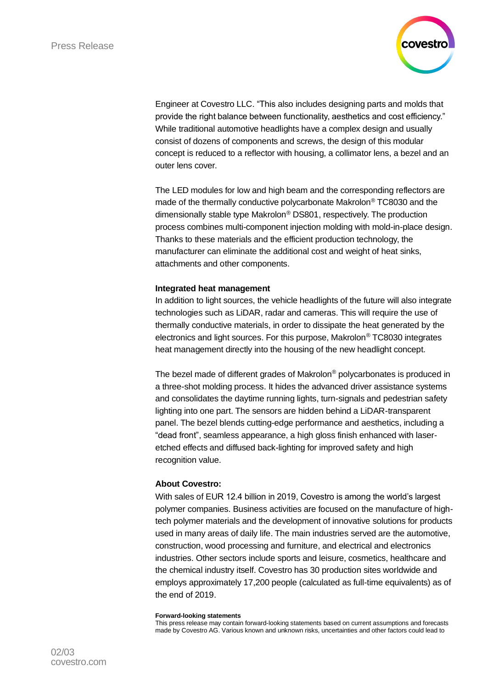

Engineer at Covestro LLC. "This also includes designing parts and molds that provide the right balance between functionality, aesthetics and cost efficiency." While traditional automotive headlights have a complex design and usually consist of dozens of components and screws, the design of this modular concept is reduced to a reflector with housing, a collimator lens, a bezel and an outer lens cover.

The LED modules for low and high beam and the corresponding reflectors are made of the thermally conductive polycarbonate Makrolon® TC8030 and the dimensionally stable type Makrolon® DS801, respectively. The production process combines multi-component injection molding with mold-in-place design. Thanks to these materials and the efficient production technology, the manufacturer can eliminate the additional cost and weight of heat sinks, attachments and other components.

#### **Integrated heat management**

In addition to light sources, the vehicle headlights of the future will also integrate technologies such as LiDAR, radar and cameras. This will require the use of thermally conductive materials, in order to dissipate the heat generated by the electronics and light sources. For this purpose, Makrolon® TC8030 integrates heat management directly into the housing of the new headlight concept.

The bezel made of different grades of Makrolon<sup>®</sup> polycarbonates is produced in a three-shot molding process. It hides the advanced driver assistance systems and consolidates the daytime running lights, turn-signals and pedestrian safety lighting into one part. The sensors are hidden behind a LiDAR-transparent panel. The bezel blends cutting-edge performance and aesthetics, including a "dead front", seamless appearance, a high gloss finish enhanced with laseretched effects and diffused back-lighting for improved safety and high recognition value.

## **About Covestro:**

With sales of EUR 12.4 billion in 2019, Covestro is among the world's largest polymer companies. Business activities are focused on the manufacture of hightech polymer materials and the development of innovative solutions for products used in many areas of daily life. The main industries served are the automotive, construction, wood processing and furniture, and electrical and electronics industries. Other sectors include sports and leisure, cosmetics, healthcare and the chemical industry itself. Covestro has 30 production sites worldwide and employs approximately 17,200 people (calculated as full-time equivalents) as of the end of 2019.

#### **Forward-looking statements**

This press release may contain forward-looking statements based on current assumptions and forecasts made by Covestro AG. Various known and unknown risks, uncertainties and other factors could lead to